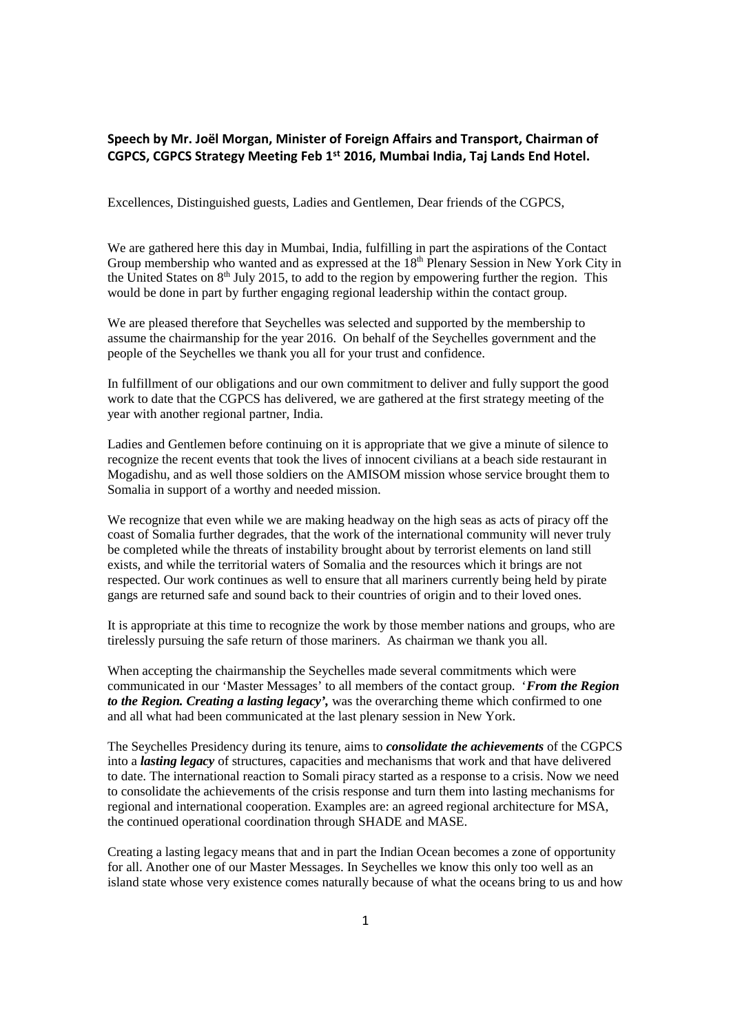## **Speech by Mr. Joël Morgan, Minister of Foreign Affairs and Transport, Chairman of CGPCS, CGPCS Strategy Meeting Feb 1st 2016, Mumbai India, Taj Lands End Hotel.**

Excellences, Distinguished guests, Ladies and Gentlemen, Dear friends of the CGPCS,

We are gathered here this day in Mumbai, India, fulfilling in part the aspirations of the Contact Group membership who wanted and as expressed at the 18<sup>th</sup> Plenary Session in New York City in the United States on  $8<sup>th</sup>$  July 2015, to add to the region by empowering further the region. This would be done in part by further engaging regional leadership within the contact group.

We are pleased therefore that Seychelles was selected and supported by the membership to assume the chairmanship for the year 2016. On behalf of the Seychelles government and the people of the Seychelles we thank you all for your trust and confidence.

In fulfillment of our obligations and our own commitment to deliver and fully support the good work to date that the CGPCS has delivered, we are gathered at the first strategy meeting of the year with another regional partner, India.

Ladies and Gentlemen before continuing on it is appropriate that we give a minute of silence to recognize the recent events that took the lives of innocent civilians at a beach side restaurant in Mogadishu, and as well those soldiers on the AMISOM mission whose service brought them to Somalia in support of a worthy and needed mission.

We recognize that even while we are making headway on the high seas as acts of piracy off the coast of Somalia further degrades, that the work of the international community will never truly be completed while the threats of instability brought about by terrorist elements on land still exists, and while the territorial waters of Somalia and the resources which it brings are not respected. Our work continues as well to ensure that all mariners currently being held by pirate gangs are returned safe and sound back to their countries of origin and to their loved ones.

It is appropriate at this time to recognize the work by those member nations and groups, who are tirelessly pursuing the safe return of those mariners. As chairman we thank you all.

When accepting the chairmanship the Seychelles made several commitments which were communicated in our 'Master Messages' to all members of the contact group. '*From the Region to the Region. Creating a lasting legacy',* was the overarching theme which confirmed to one and all what had been communicated at the last plenary session in New York.

The Seychelles Presidency during its tenure, aims to *consolidate the achievements* of the CGPCS into a *lasting legacy* of structures, capacities and mechanisms that work and that have delivered to date. The international reaction to Somali piracy started as a response to a crisis. Now we need to consolidate the achievements of the crisis response and turn them into lasting mechanisms for regional and international cooperation. Examples are: an agreed regional architecture for MSA, the continued operational coordination through SHADE and MASE.

Creating a lasting legacy means that and in part the Indian Ocean becomes a zone of opportunity for all. Another one of our Master Messages. In Seychelles we know this only too well as an island state whose very existence comes naturally because of what the oceans bring to us and how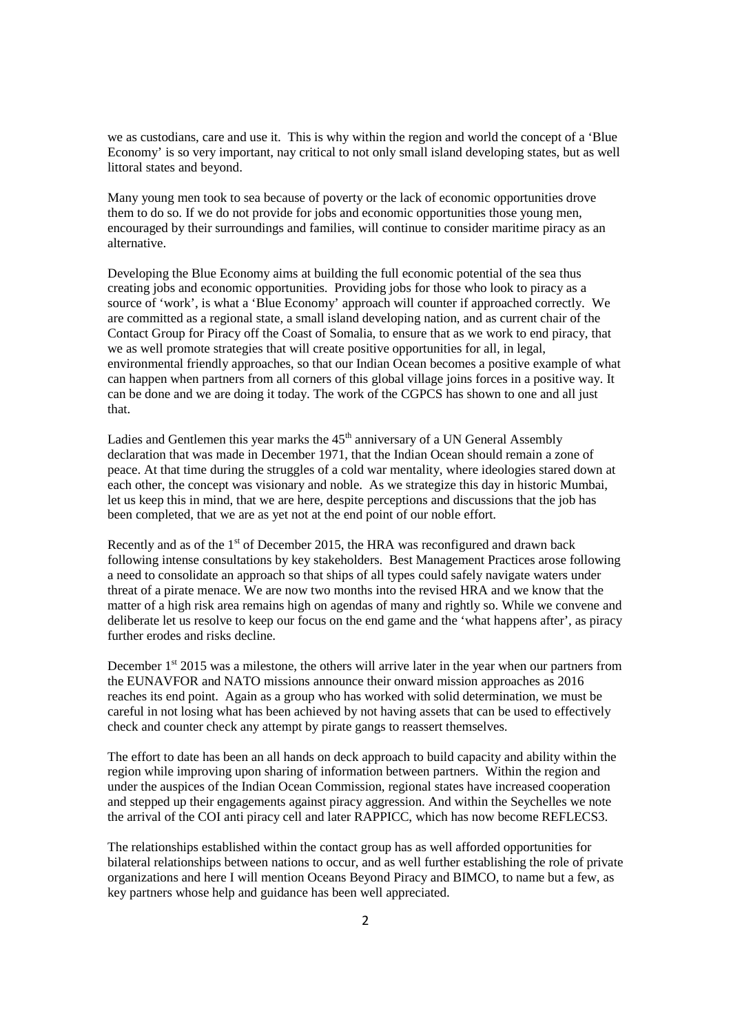we as custodians, care and use it. This is why within the region and world the concept of a 'Blue Economy' is so very important, nay critical to not only small island developing states, but as well littoral states and beyond.

Many young men took to sea because of poverty or the lack of economic opportunities drove them to do so. If we do not provide for jobs and economic opportunities those young men, encouraged by their surroundings and families, will continue to consider maritime piracy as an alternative.

Developing the Blue Economy aims at building the full economic potential of the sea thus creating jobs and economic opportunities. Providing jobs for those who look to piracy as a source of 'work', is what a 'Blue Economy' approach will counter if approached correctly. We are committed as a regional state, a small island developing nation, and as current chair of the Contact Group for Piracy off the Coast of Somalia, to ensure that as we work to end piracy, that we as well promote strategies that will create positive opportunities for all, in legal, environmental friendly approaches, so that our Indian Ocean becomes a positive example of what can happen when partners from all corners of this global village joins forces in a positive way. It can be done and we are doing it today. The work of the CGPCS has shown to one and all just that.

Ladies and Gentlemen this year marks the  $45<sup>th</sup>$  anniversary of a UN General Assembly declaration that was made in December 1971, that the Indian Ocean should remain a zone of peace. At that time during the struggles of a cold war mentality, where ideologies stared down at each other, the concept was visionary and noble. As we strategize this day in historic Mumbai, let us keep this in mind, that we are here, despite perceptions and discussions that the job has been completed, that we are as yet not at the end point of our noble effort.

Recently and as of the  $1<sup>st</sup>$  of December 2015, the HRA was reconfigured and drawn back following intense consultations by key stakeholders. Best Management Practices arose following a need to consolidate an approach so that ships of all types could safely navigate waters under threat of a pirate menace. We are now two months into the revised HRA and we know that the matter of a high risk area remains high on agendas of many and rightly so. While we convene and deliberate let us resolve to keep our focus on the end game and the 'what happens after', as piracy further erodes and risks decline.

December 1<sup>st</sup> 2015 was a milestone, the others will arrive later in the year when our partners from the EUNAVFOR and NATO missions announce their onward mission approaches as 2016 reaches its end point. Again as a group who has worked with solid determination, we must be careful in not losing what has been achieved by not having assets that can be used to effectively check and counter check any attempt by pirate gangs to reassert themselves.

The effort to date has been an all hands on deck approach to build capacity and ability within the region while improving upon sharing of information between partners. Within the region and under the auspices of the Indian Ocean Commission, regional states have increased cooperation and stepped up their engagements against piracy aggression. And within the Seychelles we note the arrival of the COI anti piracy cell and later RAPPICC, which has now become REFLECS3.

The relationships established within the contact group has as well afforded opportunities for bilateral relationships between nations to occur, and as well further establishing the role of private organizations and here I will mention Oceans Beyond Piracy and BIMCO, to name but a few, as key partners whose help and guidance has been well appreciated.